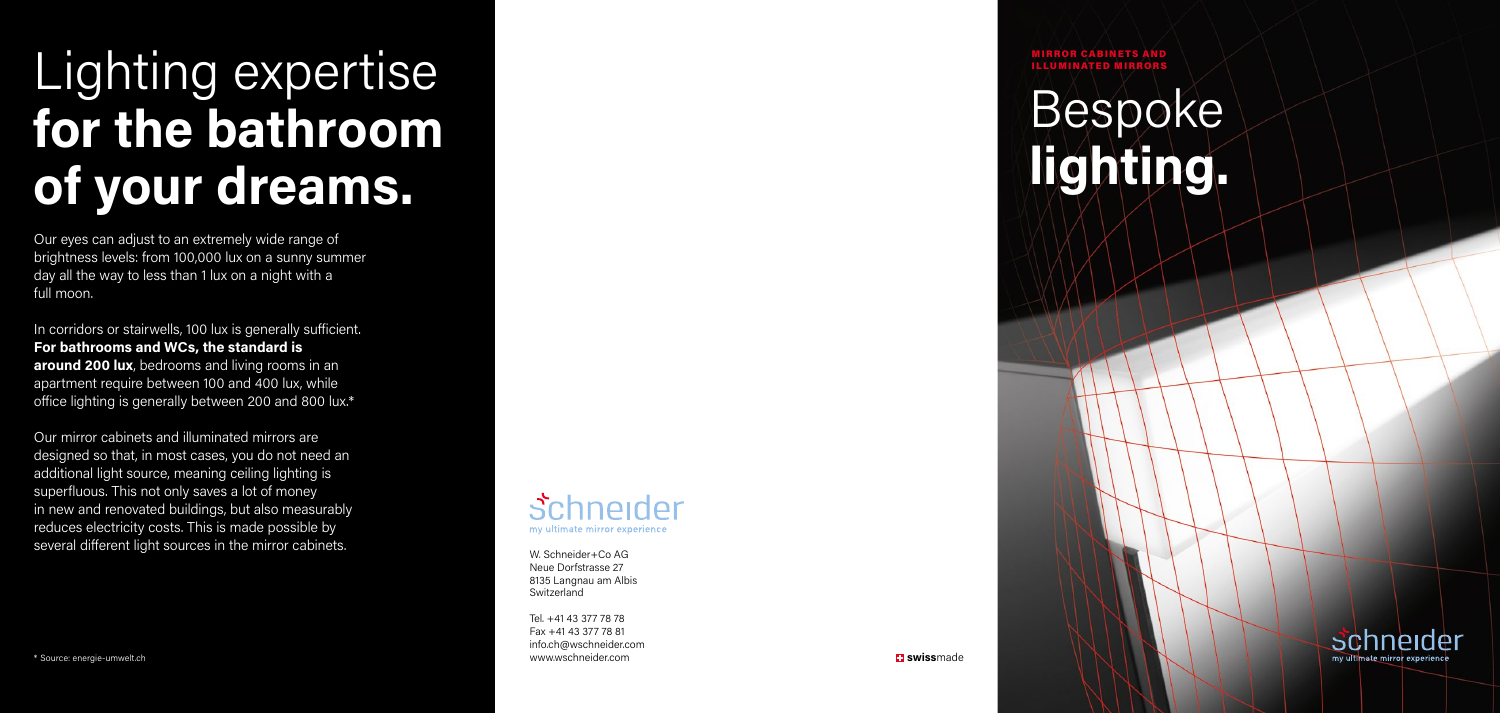MIRROR CABINETS AND ILLUMINATED MIRRORS

# Lighting expertise **for the bathroom of your dreams.**

## Bespoke **lighting.**



Our eyes can adjust to an extremely wide range of brightness levels: from 100,000 lux on a sunny summer day all the way to less than 1 lux on a night with a full moon.

In corridors or stairwells, 100 lux is generally sufficient. **For bathrooms and WCs, the standard is around 200 lux**, bedrooms and living rooms in an apartment require between 100 and 400 lux, while office lighting is generally between 200 and 800 lux.\*

Our mirror cabinets and illuminated mirrors are designed so that, in most cases, you do not need an additional light source, meaning ceiling lighting is superfluous. This not only saves a lot of money in new and renovated buildings, but also measurably reduces electricity costs. This is made possible by several different light sources in the mirror cabinets.

#### *Schneider* my ultimate mirror experience

\* Source: energie-umwelt.ch



W. Schneider+Co AG Neue Dorfstrasse 27 8135 Langnau am Albis Switzerland

Tel. +41 43 377 78 78 Fax +41 43 377 78 81 info.ch@wschneider.com www.wschneider.com **swiss**made